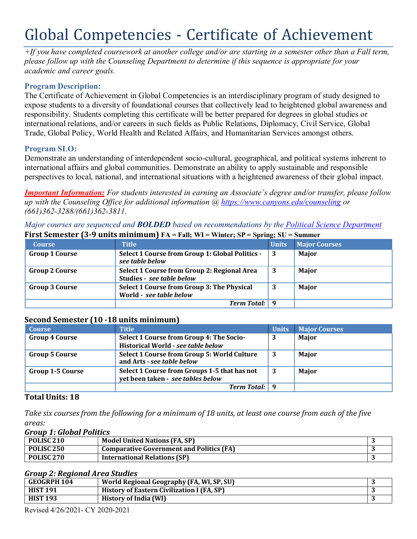# Global Competencies - Certificate of Achievement

*+If you have completed coursework at another college and/or are starting in a semester other than a Fall term, please follow up with the Counseling Department to determine if this sequence is appropriate for your academic and career goals.*

# **Program Description:**

The Certificate of Achievement in Global Competencies is an interdisciplinary program of study designed to expose students to a diversity of foundational courses that collectively lead to heightened global awareness and responsibility. Students completing this certificate will be better prepared for degrees in global studies or international relations, and/or careers in such fields as Public Relations, Diplomacy, Civil Service, Global Trade, Global Policy, World Health and Related Affairs, and Humanitarian Services amongst others.

# **Program SLO:**

Demonstrate an understanding of interdependent socio-cultural, geographical, and political systems inherent to international affairs and global communities. Demonstrate an ability to apply sustainable and responsible perspectives to local, national, and international situations with a heightened awareness of their global impact.

*Important Information: For students interested in earning an Associate's degree and/or transfer, please follow up with the Counseling Office for additional information @ https:/[/www.canyons.edu/counseling](http://www.canyons.edu/counseling) or (661)362-3288/(661)362-3811.*

*Major courses are sequenced and BOLDED based on recommendations by the Political Science Department* **First Semester (3-9 units minimum) FA = Fall; WI = Winter; SP = Spring; SU = Summer**

| <b>Course</b>         | <b>Title</b>                                                             | $\rightarrow$<br><b>Units</b> | <b>Major Courses</b> |
|-----------------------|--------------------------------------------------------------------------|-------------------------------|----------------------|
| <b>Group 1 Course</b> | Select 1 Course from Group 1: Global Politics -<br>see table below       | -3                            | Major                |
| <b>Group 2 Course</b> | Select 1 Course from Group 2: Regional Area<br>Studies - see table below | -3                            | Major                |
| <b>Group 3 Course</b> | Select 1 Course from Group 3: The Physical<br>World - see table below    | 3                             | Major                |
|                       | Term Total: 9                                                            |                               |                      |

# **Second Semester (10 -18 units minimum)**

| <b>Course</b>           | <b>Title</b>                                                                      | <b>Units</b> | <b>Major Courses</b> |
|-------------------------|-----------------------------------------------------------------------------------|--------------|----------------------|
| <b>Group 4 Course</b>   | Select 1 Course from Group 4: The Socio-<br>Historical World - see table below    | 3            | Major                |
| <b>Group 5 Course</b>   | Select 1 Course from Group 5: World Culture<br>and Arts - see table below         | -3           | Major                |
| <b>Group 1-5 Course</b> | Select 1 Course from Groups 1-5 that has not<br>yet been taken - see tables below | - 3          | Major                |
|                         | <b>Term Total:</b> 9                                                              |              |                      |

# **Total Units: 18**

*Take six courses from the following for a minimum of 18 units, at least one course from each of the five areas:*

#### *Group 1: Global Politics*

| POLISC <sub>210</sub> | <b>Model United Nations (FA, SP)</b>            |  |
|-----------------------|-------------------------------------------------|--|
| POLISC <sub>250</sub> | <b>Comparative Government and Politics (FA)</b> |  |
| POLISC <sub>270</sub> | <b>International Relations (SP)</b>             |  |

#### *Group 2: Regional Area Studies*

| GEOGRPH 104     | World Regional Geography (FA, WI, SP, SU)  |  |
|-----------------|--------------------------------------------|--|
| <b>HIST 191</b> | History of Eastern Civilization I (FA, SP) |  |
| <b>HIST 193</b> | History of India (WI)                      |  |